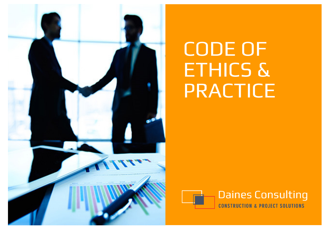

# CODE OF ETHICS & PRACTICE

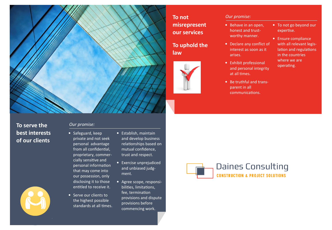## **To not misrepresent our services**

## **To uphold the law**



#### *Our promise:*

- Behave in an open, honest and trustworthy manner.
- Declare any conflict of interest as soon as it arises.
- Exhibit professional and personal integrity at all times.
- Be truthful and transparent in all communications.

### • To not go beyond our expertise.

• Ensure compliance with all relevant legislation and regulations in the countries where we are operating.

## **To serve the best interests of our clients**



#### *Our promise:*

- Safeguard, keep private and not seek personal advantage from all confidential, proprietary, commercially sensitive and personal information that may come into our possession, only disclosing it to those entitled to receive it.
- Serve our clients to the highest possible standards at all times.
- Establish, maintain and develop business relationships based on mutual confidence, trust and respect.
- Exercise unprejudiced and unbiased judgment.
- Agree scope, responsibilities, limitations, fee, termination provisions and dispute provisions before commencing work.

**Daines Consulting CONSTRUCTION & PROJECT SOLUTIONS**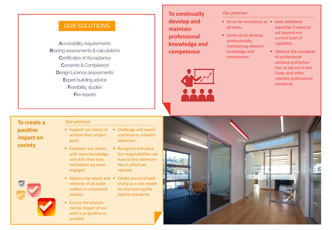## OUR SOLUTIONS

**A**ccessibility requirements **Bracing assessments & calculations C**ertificates of Acceptance **C**onsents & Compliance **D**esign Licence assessments **E**xpert building advice **F**easibility studies **Fire reports** 

**To continually develop and maintain professional knowledge and competence** 



#### *Our promise:*

- Strive for excellence at Seek additional all times.
- Continue to develop professionally, maintaining relevant knowledge and competence.
- expertise if asked to act beyond our current level of capability.
- Observe the standards of professional conduct and behaviour as set out in this Code, and other relevant professional standards.

## **To create a positive impact on society**



*Our promise:* 

- Support our clients to achieve their project goals.
- Empower our clients with more knowledge and skills than they had before we were engaged.
- Address the needs and interests of all stakeholders in a balanced manner.
- Ensure the environmental impact of our work is as positive as possible.
- Challenge and report unethical or unlawful behaviour.
- Recognise and value the responsibilities we have to the communities in which we operate.
- for maintaining the highest standards.
-